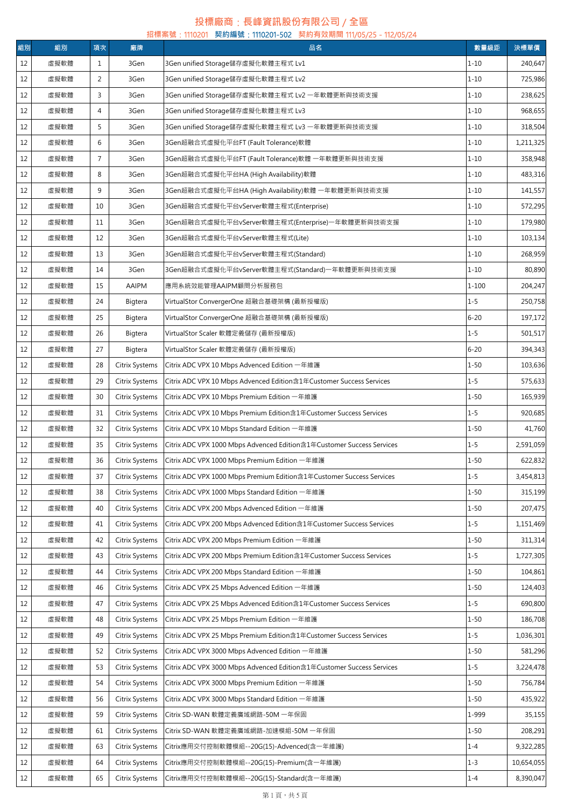## **投標廠商**:**長峰資訊股份有限公司** / **全區**

|    | 招標案號:1110201 契約編號:1110201-502 契約有效期間 111/05/25 - 112/05/24 |                |                |                                                                       |           |            |  |  |
|----|------------------------------------------------------------|----------------|----------------|-----------------------------------------------------------------------|-----------|------------|--|--|
| 組別 | 組別                                                         | 項次             | 廠牌             | 品名                                                                    | 數量級距      | 決標單價       |  |  |
| 12 | 虛擬軟體                                                       | 1              | 3Gen           | 3Gen unified Storage儲存虛擬化軟體主程式 Lv1                                    | $1 - 10$  | 240,647    |  |  |
| 12 | 虛擬軟體                                                       | $\overline{2}$ | 3Gen           | 3Gen unified Storage儲存虛擬化軟體主程式 Lv2                                    | $1 - 10$  | 725,986    |  |  |
| 12 | 虛擬軟體                                                       | 3              | 3Gen           | 3Gen unified Storage儲存虛擬化軟體主程式 Lv2 一年軟體更新與技術支援                        | $1 - 10$  | 238,625    |  |  |
| 12 | 虛擬軟體                                                       | 4              | 3Gen           | 3Gen unified Storage儲存虛擬化軟體主程式 Lv3                                    | $1 - 10$  | 968,655    |  |  |
| 12 | 虛擬軟體                                                       | 5              | 3Gen           | 3Gen unified Storage儲存虛擬化軟體主程式 Lv3 一年軟體更新與技術支援                        | $1 - 10$  | 318,504    |  |  |
| 12 | 虛擬軟體                                                       | 6              | 3Gen           | 3Gen超融合式虛擬化平台FT (Fault Tolerance)軟體                                   | $1 - 10$  | 1,211,325  |  |  |
| 12 | 虛擬軟體                                                       | $\overline{7}$ | 3Gen           | 3Gen超融合式虚擬化平台FT (Fault Tolerance)軟體 一年軟體更新與技術支援                       | $1 - 10$  | 358,948    |  |  |
| 12 | 虛擬軟體                                                       | 8              | 3Gen           | 3Gen超融合式虛擬化平台HA (High Availability)軟體                                 | $1 - 10$  | 483,316    |  |  |
| 12 | 虛擬軟體                                                       | 9              | 3Gen           | 3Gen超融合式虚擬化平台HA (High Availability)軟體 一年軟體更新與技術支援                     | $1 - 10$  | 141,557    |  |  |
| 12 | 虛擬軟體                                                       | 10             | 3Gen           | 3Gen超融合式虛擬化平台vServer軟體主程式(Enterprise)                                 | $1 - 10$  | 572,295    |  |  |
| 12 | 虛擬軟體                                                       | 11             | 3Gen           | 3Gen超融合式虛擬化平台vServer軟體主程式(Enterprise)一年軟體更新與技術支援                      | $1 - 10$  | 179,980    |  |  |
| 12 | 虛擬軟體                                                       | 12             | 3Gen           | 3Gen超融合式虚擬化平台vServer軟體主程式(Lite)                                       | $1 - 10$  | 103,134    |  |  |
| 12 | 虛擬軟體                                                       | 13             | 3Gen           | 3Gen超融合式虛擬化平台vServer軟體主程式(Standard)                                   | $1 - 10$  | 268,959    |  |  |
| 12 | 虛擬軟體                                                       | 14             | 3Gen           | 3Gen超融合式虛擬化平台vServer軟體主程式(Standard)一年軟體更新與技術支援                        | $1 - 10$  | 80,890     |  |  |
| 12 | 虛擬軟體                                                       | 15             | AAIPM          | 應用系統效能管理AAIPM顧問分析服務包                                                  | $1 - 100$ | 204,247    |  |  |
| 12 | 虛擬軟體                                                       | 24             | Bigtera        | VirtualStor ConvergerOne 超融合基礎架構 (最新授權版)                              | $1 - 5$   | 250,758    |  |  |
| 12 | 虛擬軟體                                                       | 25             | Bigtera        | VirtualStor ConvergerOne 超融合基礎架構 (最新授權版)                              | $6 - 20$  | 197,172    |  |  |
| 12 | 虛擬軟體                                                       | 26             | Bigtera        | VirtualStor Scaler 軟體定義儲存 (最新授權版)                                     | $1 - 5$   | 501,517    |  |  |
| 12 | 虛擬軟體                                                       | 27             | Bigtera        | VirtualStor Scaler 軟體定義儲存 (最新授權版)                                     | $6 - 20$  | 394,343    |  |  |
| 12 | 虛擬軟體                                                       | 28             | Citrix Systems | Citrix ADC VPX 10 Mbps Advenced Edition 一年維護                          | $1 - 50$  | 103,636    |  |  |
|    |                                                            |                |                |                                                                       |           |            |  |  |
| 12 | 虛擬軟體                                                       | 29             | Citrix Systems | Citrix ADC VPX 10 Mbps Advenced Edition含1年Customer Success Services   | $1 - 5$   | 575,633    |  |  |
| 12 | 虛擬軟體                                                       | 30             | Citrix Systems | Citrix ADC VPX 10 Mbps Premium Edition 一年維護                           | $1 - 50$  | 165,939    |  |  |
| 12 | 虛擬軟體                                                       | 31             | Citrix Systems | Citrix ADC VPX 10 Mbps Premium Edition含1年Customer Success Services    | $1 - 5$   | 920,685    |  |  |
| 12 | 虛擬軟體                                                       | 32             | Citrix Systems | Citrix ADC VPX 10 Mbps Standard Edition 一年維護                          | $1 - 50$  | 41,760     |  |  |
| 12 | 虛擬軟體                                                       | 35             | Citrix Systems | Citrix ADC VPX 1000 Mbps Advenced Edition含1年Customer Success Services | $1 - 5$   | 2,591,059  |  |  |
| 12 | 虛擬軟體                                                       | 36             | Citrix Systems | Citrix ADC VPX 1000 Mbps Premium Edition 一年維護                         | 1-50      | 622,832    |  |  |
| 12 | 虛擬軟體                                                       | 37             | Citrix Systems | Citrix ADC VPX 1000 Mbps Premium Edition含1年Customer Success Services  | $1 - 5$   | 3,454,813  |  |  |
| 12 | 虛擬軟體                                                       | 38             | Citrix Systems | Citrix ADC VPX 1000 Mbps Standard Edition 一年維護                        | $1 - 50$  | 315,199    |  |  |
| 12 | 虛擬軟體                                                       | 40             | Citrix Systems | Citrix ADC VPX 200 Mbps Advenced Edition 一年維護                         | $1 - 50$  | 207,475    |  |  |
| 12 | 虛擬軟體                                                       | 41             | Citrix Systems | Citrix ADC VPX 200 Mbps Advenced Edition含1年Customer Success Services  | $1 - 5$   | 1,151,469  |  |  |
| 12 | 虛擬軟體                                                       | 42             | Citrix Systems | Citrix ADC VPX 200 Mbps Premium Edition 一年維護                          | $1 - 50$  | 311,314    |  |  |
| 12 | 虛擬軟體                                                       | 43             | Citrix Systems | Citrix ADC VPX 200 Mbps Premium Edition含1年Customer Success Services   | $1 - 5$   | 1,727,305  |  |  |
| 12 | 虛擬軟體                                                       | 44             | Citrix Systems | Citrix ADC VPX 200 Mbps Standard Edition 一年維護                         | $1 - 50$  | 104,861    |  |  |
| 12 | 虛擬軟體                                                       | 46             | Citrix Systems | Citrix ADC VPX 25 Mbps Advenced Edition 一年維護                          | $1 - 50$  | 124,403    |  |  |
| 12 | 虛擬軟體                                                       | 47             | Citrix Systems | Citrix ADC VPX 25 Mbps Advenced Edition含1年Customer Success Services   | $1 - 5$   | 690,800    |  |  |
| 12 | 虛擬軟體                                                       | 48             | Citrix Systems | Citrix ADC VPX 25 Mbps Premium Edition 一年維護                           | $1 - 50$  | 186,708    |  |  |
| 12 | 虛擬軟體                                                       | 49             | Citrix Systems | Citrix ADC VPX 25 Mbps Premium Edition含1年Customer Success Services    | $1 - 5$   | 1,036,301  |  |  |
| 12 | 虛擬軟體                                                       | 52             | Citrix Systems | Citrix ADC VPX 3000 Mbps Advenced Edition 一年維護                        | $1 - 50$  | 581,296    |  |  |
| 12 | 虛擬軟體                                                       | 53             | Citrix Systems | Citrix ADC VPX 3000 Mbps Advenced Edition含1年Customer Success Services | $1 - 5$   | 3,224,478  |  |  |
| 12 | 虛擬軟體                                                       | 54             | Citrix Systems | Citrix ADC VPX 3000 Mbps Premium Edition 一年維護                         | $1 - 50$  | 756,784    |  |  |
| 12 | 虛擬軟體                                                       | 56             | Citrix Systems | Citrix ADC VPX 3000 Mbps Standard Edition 一年維護                        | $1 - 50$  | 435,922    |  |  |
| 12 | 虛擬軟體                                                       | 59             | Citrix Systems | Citrix SD-WAN 軟體定義廣域網路-50M 一年保固                                       | 1-999     | 35,155     |  |  |
| 12 | 虛擬軟體                                                       | 61             | Citrix Systems | Citrix SD-WAN 軟體定義廣域網路-加速模組-50M 一年保固                                  | $1 - 50$  | 208,291    |  |  |
| 12 | 虛擬軟體                                                       | 63             | Citrix Systems | Citrix應用交付控制軟體模組--20G(15)-Advenced(含一年維護)                             | $1 - 4$   | 9,322,285  |  |  |
| 12 | 虛擬軟體                                                       | 64             | Citrix Systems | Citrix應用交付控制軟體模組--20G(15)-Premium(含一年維護)                              | $1 - 3$   | 10,654,055 |  |  |
| 12 | 虛擬軟體                                                       | 65             | Citrix Systems | Citrix應用交付控制軟體模組--20G(15)-Standard(含一年維護)                             | $1 - 4$   | 8,390,047  |  |  |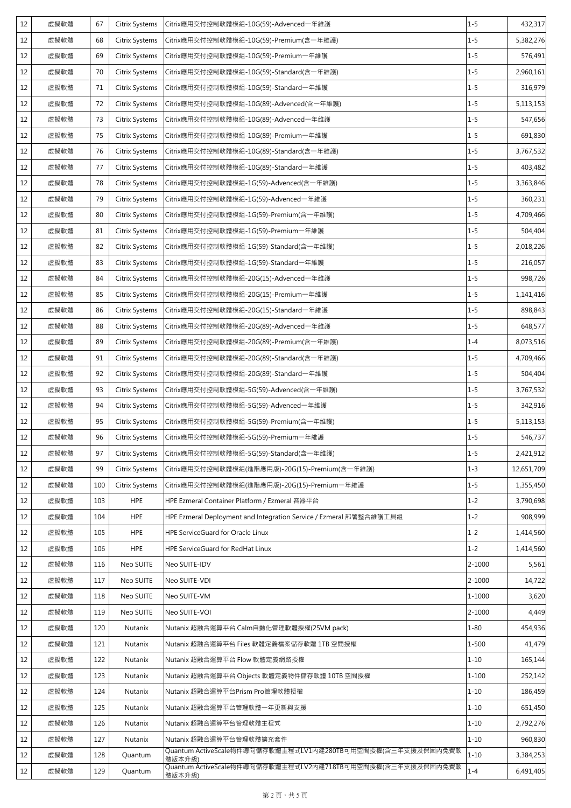| 12 | 虛擬軟體 | 67  | Citrix Systems        | Citrix應用交付控制軟體模組-10G(59)-Advenced一年維護                                 | $1 - 5$    | 432,317    |
|----|------|-----|-----------------------|-----------------------------------------------------------------------|------------|------------|
| 12 | 虛擬軟體 | 68  | Citrix Systems        | Citrix應用交付控制軟體模組-10G(59)-Premium(含一年維護)                               | $1 - 5$    | 5,382,276  |
| 12 | 虛擬軟體 | 69  | Citrix Systems        | Citrix應用交付控制軟體模組-10G(59)-Premium一年維護                                  | $1 - 5$    | 576,491    |
| 12 | 虛擬軟體 | 70  | Citrix Systems        | Citrix應用交付控制軟體模組-10G(59)-Standard(含一年維護)                              | $1 - 5$    | 2,960,161  |
| 12 | 虛擬軟體 | 71  | Citrix Systems        | Citrix應用交付控制軟體模組-10G(59)-Standard一年維護                                 | $1 - 5$    | 316,979    |
| 12 | 虛擬軟體 | 72  | Citrix Systems        | Citrix應用交付控制軟體模組-10G(89)-Advenced(含一年維護)                              | $1 - 5$    | 5,113,153  |
| 12 | 虛擬軟體 | 73  | Citrix Systems        | Citrix應用交付控制軟體模組-10G(89)-Advenced一年維護                                 | $1 - 5$    | 547,656    |
| 12 | 虛擬軟體 | 75  | Citrix Systems        | Citrix應用交付控制軟體模組-10G(89)-Premium一年維護                                  | $1 - 5$    | 691,830    |
| 12 | 虛擬軟體 | 76  | Citrix Systems        | Citrix應用交付控制軟體模組-10G(89)-Standard(含一年維護)                              | $1 - 5$    | 3,767,532  |
| 12 | 虛擬軟體 | 77  | Citrix Systems        | Citrix應用交付控制軟體模組-10G(89)-Standard一年維護                                 | $1 - 5$    | 403,482    |
| 12 | 虛擬軟體 | 78  | Citrix Systems        | Citrix應用交付控制軟體模組-1G(59)-Advenced(含一年維護)                               | $1 - 5$    | 3,363,846  |
| 12 | 虛擬軟體 | 79  | Citrix Systems        | Citrix應用交付控制軟體模組-1G(59)-Advenced一年維護                                  | $1 - 5$    | 360,231    |
| 12 | 虛擬軟體 | 80  | Citrix Systems        | Citrix應用交付控制軟體模組-1G(59)-Premium(含一年維護)                                | $1 - 5$    | 4,709,466  |
| 12 | 虛擬軟體 | 81  | Citrix Systems        | Citrix應用交付控制軟體模組-1G(59)-Premium一年維護                                   | $1 - 5$    | 504,404    |
| 12 | 虛擬軟體 | 82  | Citrix Systems        | Citrix應用交付控制軟體模組-1G(59)-Standard(含一年維護)                               | $1 - 5$    | 2,018,226  |
| 12 | 虛擬軟體 | 83  | Citrix Systems        | Citrix應用交付控制軟體模組-1G(59)-Standard一年維護                                  | $1 - 5$    | 216,057    |
| 12 | 虛擬軟體 | 84  | Citrix Systems        | Citrix應用交付控制軟體模組-20G(15)-Advenced一年維護                                 | $1 - 5$    | 998,726    |
| 12 | 虛擬軟體 | 85  | Citrix Systems        | Citrix應用交付控制軟體模組-20G(15)-Premium一年維護                                  | $1 - 5$    | 1,141,416  |
| 12 | 虛擬軟體 | 86  | Citrix Systems        | Citrix應用交付控制軟體模組-20G(15)-Standard一年維護                                 | $1 - 5$    | 898,843    |
| 12 | 虛擬軟體 | 88  | Citrix Systems        | Citrix應用交付控制軟體模組-20G(89)-Advenced一年維護                                 | $1 - 5$    | 648,577    |
| 12 | 虛擬軟體 | 89  | Citrix Systems        | Citrix應用交付控制軟體模組-20G(89)-Premium(含一年維護)                               | $1 - 4$    | 8,073,516  |
| 12 | 虛擬軟體 | 91  | Citrix Systems        | Citrix應用交付控制軟體模組-20G(89)-Standard(含一年維護)                              | $1 - 5$    | 4,709,466  |
| 12 | 虛擬軟體 | 92  | Citrix Systems        | Citrix應用交付控制軟體模組-20G(89)-Standard一年維護                                 | $1 - 5$    | 504,404    |
| 12 | 虛擬軟體 | 93  | <b>Citrix Systems</b> | Citrix應用交付控制軟體模組-5G(59)-Advenced(含一年維護)                               | $1 - 5$    | 3,767,532  |
| 12 | 虛擬軟體 | 94  | Citrix Systems        | Citrix應用交付控制軟體模組-5G(59)-Advenced一年維護                                  | $1 - 5$    | 342,916    |
| 12 | 虛擬軟體 | 95  | Citrix Systems        | Citrix應用交付控制軟體模組-5G(59)-Premium(含一年維護)                                | $1 - 5$    | 5,113,153  |
| 12 | 虛擬軟體 | 96  | Citrix Systems        | Citrix應用交付控制軟體模組-5G(59)-Premium一年維護                                   | $1 - 5$    | 546,737    |
| 12 | 虛擬軟體 | 97  | Citrix Systems        | Citrix應用交付控制軟體模組-5G(59)-Standard(含一年維護)                               | $1 - 5$    | 2,421,912  |
| 12 | 虛擬軟體 | 99  | Citrix Systems        | Citrix應用交付控制軟體模組(進階應用版)-20G(15)-Premium(含一年維護)                        | $1 - 3$    | 12,651,709 |
| 12 | 虛擬軟體 | 100 | Citrix Systems        | Citrix應用交付控制軟體模組(進階應用版)-20G(15)-Premium一年維護                           | $1 - 5$    | 1,355,450  |
| 12 | 虛擬軟體 | 103 | <b>HPE</b>            | HPE Ezmeral Container Platform / Ezmeral 容器平台                         | $1 - 2$    | 3,790,698  |
| 12 | 虛擬軟體 | 104 | <b>HPE</b>            | HPE Ezmeral Deployment and Integration Service / Ezmeral 部署整合維護工具組    | $1 - 2$    | 908,999    |
| 12 | 虛擬軟體 | 105 | <b>HPE</b>            | HPE ServiceGuard for Oracle Linux                                     | $1 - 2$    | 1,414,560  |
| 12 | 虛擬軟體 | 106 | <b>HPE</b>            | HPE ServiceGuard for RedHat Linux                                     | $1 - 2$    | 1,414,560  |
| 12 | 虛擬軟體 | 116 | Neo SUITE             | Neo SUITE-IDV                                                         | $2 - 1000$ | 5,561      |
| 12 | 虛擬軟體 | 117 | Neo SUITE             | Neo SUITE-VDI                                                         | 2-1000     | 14,722     |
| 12 | 虛擬軟體 | 118 | Neo SUITE             | Neo SUITE-VM                                                          | $1 - 1000$ | 3,620      |
| 12 | 虛擬軟體 | 119 | Neo SUITE             | Neo SUITE-VOI                                                         | $2 - 1000$ | 4,449      |
| 12 | 虛擬軟體 | 120 | Nutanix               | Nutanix 超融合運算平台 Calm自動化管理軟體授權(25VM pack)                              | $1 - 80$   | 454,936    |
| 12 | 虛擬軟體 | 121 | Nutanix               | Nutanix 超融合運算平台 Files 軟體定義檔案儲存軟體 1TB 空間授權                             | 1-500      | 41,479     |
| 12 | 虛擬軟體 | 122 | Nutanix               | Nutanix 超融合運算平台 Flow 軟體定義網路授權                                         | $1 - 10$   | 165,144    |
| 12 | 虛擬軟體 | 123 | Nutanix               | Nutanix 超融合運算平台 Objects 軟體定義物件儲存軟體 10TB 空間授權                          | $1 - 100$  | 252,142    |
| 12 | 虛擬軟體 | 124 | Nutanix               | Nutanix 超融合運算平台Prism Pro管理軟體授權                                        | $1 - 10$   | 186,459    |
| 12 | 虛擬軟體 | 125 | Nutanix               | Nutanix 超融合運算平台管理軟體一年更新與支援                                            | $1 - 10$   | 651,450    |
| 12 | 虛擬軟體 | 126 | Nutanix               | Nutanix 超融合運算平台管理軟體主程式                                                | $1 - 10$   | 2,792,276  |
| 12 | 虛擬軟體 | 127 | Nutanix               | Nutanix 超融合運算平台管理軟體擴充套件                                               | $1 - 10$   | 960,830    |
| 12 | 虛擬軟體 | 128 | Quantum               | Quantum ActiveScale物件導向儲存軟體主程式LV1內建280TB可用空間授權(含三年支援及保固內免費軟<br>體版本升級) | $1 - 10$   | 3,384,253  |
| 12 | 虛擬軟體 | 129 | Quantum               | Quantum ActiveScale物件導向儲存軟體主程式LV2內建718TB可用空間授權(含三年支援及保固內免費軟<br>體版本升級) | $1 - 4$    | 6,491,405  |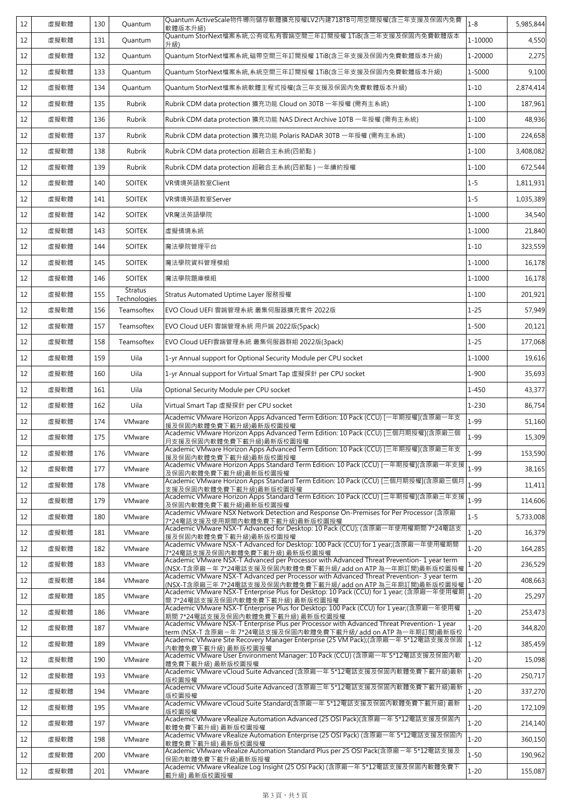| 12 | 虚擬軟體 | 130 | Quantum                        | Quantum ActiveScale物件導向儲存軟體擴充授權LV2內建718TB可用空間授權(含三年支援及保固內免費<br>軟體版本升級)                                                                                        | $1 - 8$   | 5,985,844 |
|----|------|-----|--------------------------------|---------------------------------------------------------------------------------------------------------------------------------------------------------------|-----------|-----------|
| 12 | 虚擬軟體 | 131 | Quantum                        | Quantum StorNext檔案系統,公有或私有雲端空間三年訂閱授權 1TiB(含三年支援及保固内免費軟體版本<br>升級)                                                                                              | 1-10000   | 4,550     |
| 12 | 虛擬軟體 | 132 | Quantum                        | Quantum StorNext檔案系統,磁帶空間三年訂閱授權 1TiB(含三年支援及保固内免費軟體版本升級)                                                                                                       | 1-20000   | 2,275     |
| 12 | 虛擬軟體 | 133 | Quantum                        | Quantum StorNext檔案系統,系統空間三年訂閱授權 1TiB(含三年支援及保固内免費軟體版本升級)                                                                                                       | 1-5000    | 9,100     |
| 12 | 虛擬軟體 | 134 | Quantum                        | Quantum StorNext檔案系統軟體主程式授權(含三年支援及保固內免費軟體版本升級)                                                                                                                | $1 - 10$  | 2,874,414 |
| 12 | 虛擬軟體 | 135 | Rubrik                         | Rubrik CDM data protection 擴充功能 Cloud on 30TB 一年授權 (需有主系統)                                                                                                    | $1 - 100$ | 187,961   |
| 12 | 虛擬軟體 | 136 | Rubrik                         | Rubrik CDM data protection 擴充功能 NAS Direct Archive 10TB 一年授權 (需有主系統)                                                                                          | $1 - 100$ | 48,936    |
| 12 | 虛擬軟體 | 137 | Rubrik                         | Rubrik CDM data protection 擴充功能 Polaris RADAR 30TB 一年授權 (需有主系統)                                                                                               | $1 - 100$ | 224,658   |
| 12 | 虛擬軟體 | 138 | Rubrik                         | Rubrik CDM data protection 超融合主系統(四節點)                                                                                                                        | $1 - 100$ | 3,408,082 |
| 12 | 虛擬軟體 | 139 | Rubrik                         | Rubrik CDM data protection 超融合主系統(四節點) 一年續約授權                                                                                                                 | $1 - 100$ | 672,544   |
| 12 | 虛擬軟體 | 140 | <b>SOITEK</b>                  | VR情境英語教室Client                                                                                                                                                | $1 - 5$   | 1,811,931 |
| 12 | 虛擬軟體 | 141 | <b>SOITEK</b>                  | VR情境英語教室Server                                                                                                                                                | $1 - 5$   | 1,035,389 |
| 12 | 虛擬軟體 | 142 | <b>SOITEK</b>                  | VR魔法英語學院                                                                                                                                                      | 1-1000    | 34,540    |
| 12 | 虛擬軟體 | 143 | <b>SOITEK</b>                  | 虚擬情境系統                                                                                                                                                        | 1-1000    | 21,840    |
| 12 | 虚擬軟體 | 144 | <b>SOITEK</b>                  | 魔法學院管理平台                                                                                                                                                      | $1 - 10$  | 323,559   |
| 12 | 虛擬軟體 | 145 | <b>SOITEK</b>                  | 魔法學院資料管理模組                                                                                                                                                    | 1-1000    | 16,178    |
| 12 | 虛擬軟體 | 146 | <b>SOITEK</b>                  | 魔法學院題庫模組                                                                                                                                                      | 1-1000    | 16,178    |
| 12 | 虛擬軟體 | 155 | <b>Stratus</b><br>Technologies | Stratus Automated Uptime Layer 服務授權                                                                                                                           | $1 - 100$ | 201,921   |
| 12 | 虛擬軟體 | 156 | Teamsoftex                     | EVO Cloud UEFI 雲端管理系統 叢集伺服器擴充套件 2022版                                                                                                                         | $1 - 25$  | 57,949    |
| 12 | 虛擬軟體 | 157 | Teamsoftex                     | EVO Cloud UEFI 雲端管理系統 用戶端 2022版(5pack)                                                                                                                        | $1 - 500$ | 20,121    |
| 12 | 虛擬軟體 | 158 | Teamsoftex                     | EVO Cloud UEFI雲端管理系統 叢集伺服器群組 2022版(3pack)                                                                                                                     | $1 - 25$  | 177,068   |
| 12 | 虛擬軟體 | 159 | Uila                           | 1-yr Annual support for Optional Security Module per CPU socket                                                                                               | 1-1000    | 19,616    |
| 12 | 虛擬軟體 | 160 | Uila                           | 1-yr Annual support for Virtual Smart Tap 虛擬探針 per CPU socket                                                                                                 | 1-900     | 35,693    |
| 12 | 虛擬軟體 | 161 | Uila                           | Optional Security Module per CPU socket                                                                                                                       | 1-450     | 43,377    |
| 12 | 虛擬軟體 | 162 | Uila                           | Virtual Smart Tap 虛擬探針 per CPU socket                                                                                                                         | $1 - 230$ | 86,754    |
| 12 | 虛擬軟體 | 174 | VMware                         | Academic VMware Horizon Apps Advanced Term Edition: 10 Pack (CCU) [一年期授權](含原廠一年支<br>援及保固内軟體免費下載升級)最新版校園授權                                                     | $1 - 99$  | 51,160    |
| 12 | 虛擬軟體 | 175 | VMware                         | Academic VMware Horizon Apps Advanced Term Edition: 10 Pack (CCU) [三個月期授權](含原廠三個<br>月支援及保固內軟體免費下載升級)最新版校園授權                                                   | $1 - 99$  | 15,309    |
| 12 | 虛擬軟體 | 176 | VMware                         | Academic VMware Horizon Apps Advanced Term Edition: 10 Pack (CCU) [三年期授權](含原廠三年支<br>援及保固內軟體免費下載升級)最新版校園授權                                                     | $1 - 99$  | 153,590   |
| 12 | 虛擬軟體 | 177 | VMware                         | Academic VMware Horizon Apps Standard Term Edition: 10 Pack (CCU) [一年期授權](含原廠一年支援<br>及保固内軟體免費下載升級)最新版校園授權                                                     | $1 - 99$  | 38,165    |
| 12 | 虛擬軟體 | 178 | VMware                         | Academic VMware Horizon Apps Standard Term Edition: 10 Pack (CCU) [三個月期授權](含原廠三個月<br>支援及保固內軟體免費下載升級)最新版校園授權                                                   | $1 - 99$  | 11,411    |
| 12 | 虛擬軟體 | 179 | VMware                         | Academic VMware Horizon Apps Standard Term Edition: 10 Pack (CCU) [三年期授權](含原廠三年支援<br>及保固內軟體免費下載升級)最新版校園授權                                                     | $1 - 99$  | 114,606   |
| 12 | 虛擬軟體 | 180 | VMware                         | Academic VMware NSX Network Detection and Response On-Premises for Per Processor (含原廠<br>7*24電話支援及使用期間內軟體免費下載升級)最新版校園授權                                       | $1 - 5$   | 5,733,008 |
| 12 | 虛擬軟體 | 181 | VMware                         | Academic VMware NSX-T Advanced for Desktop: 10 Pack (CCU); (含原廠一年使用權期間 7*24電話支<br>援及保固內軟體免費下載升級)最新版校園授權                                                       | $1 - 20$  | 16,379    |
| 12 | 虛擬軟體 | 182 | VMware                         | Academic VMware NSX-T Advanced for Desktop: 100 Pack (CCU) for 1 year;(含原廠一年使用權期間<br>7*24電話支援及保固內軟體免費下載升級)最新版校園授權                                             | $1 - 20$  | 164,285   |
| 12 | 虚擬軟體 | 183 | VMware                         | Academic VMware NSX-T Advanced per Processor with Advanced Threat Prevention- 1 year term<br>(NSX-T含原廠-年 7*24電話支援及保固內軟體免費下載升級/ add on ATP 為一年期訂閱)最新版校園授權      | $1 - 20$  | 236,529   |
| 12 | 虛擬軟體 | 184 | VMware                         | Academic VMware NSX-T Advanced per Processor with Advanced Threat Prevention-3 year term<br>(NSX-T含原廠三年 7*24電話支援及保固內軟體免費下載升級/ add on ATP 為三年期訂閱)最新版校園授權       | $1 - 20$  | 408,663   |
| 12 | 虛擬軟體 | 185 | VMware                         | Academic VMware NSX-T Enterprise Plus for Desktop: 10 Pack (CCU) for 1 year; (含原廠一年使用權期<br>間7*24電話支援及保固內軟體免費下載升級) 最新版校園授權                                     | $1 - 20$  | 25,297    |
| 12 | 虛擬軟體 | 186 | VMware                         | Academic VMware NSX-T Enterprise Plus for Desktop: 100 Pack (CCU) for 1 year;(含原廠一年使用權<br>期間 7*24電話支援及保固內軟體免費下載升級) 最新版校園授權                                    | $1 - 20$  | 253,473   |
| 12 | 虛擬軟體 | 187 | VMware                         | Academic VMware NSX-T Enterprise Plus per Processor with Advanced Threat Prevention- 1 year<br>term (NSX-T 含原廠-年 7*24電話支援及保固內軟體免費下載升級/ add on ATP 為一年期訂閱)最新版校 | $1 - 20$  | 344,820   |
| 12 | 虛擬軟體 | 189 | VMware                         | Academic VMware Site Recovery Manager Enterprise (25 VM Pack);(含原廠一年 5*12電話支援及保固<br>內軟體免費下載升級) 最新版校園授權                                                        | $1 - 12$  | 385,459   |
| 12 | 虛擬軟體 | 190 | VMware                         | Academic VMware User Environment Manager: 10 Pack (CCU) (含原廠一年 5*12電話支援及保固內軟<br>體免費下載升級) 最新版校園授權                                                              | $1 - 20$  | 15,098    |
| 12 | 虛擬軟體 | 193 | VMware                         | Academic VMware vCloud Suite Advanced (含原廠一年 5*12電話支援及保固內軟體免費下載升級)最新<br>版校園授權                                                                                 | $1 - 20$  | 250,717   |
| 12 | 虛擬軟體 | 194 | VMware                         | Academic VMware vCloud Suite Advanced (含原廠三年 5*12電話支援及保固內軟體免費下載升級)最新<br>版校園授權                                                                                 | $1 - 20$  | 337,270   |
| 12 | 虛擬軟體 | 195 | VMware                         | Academic VMware vCloud Suite Standard(含原廠一年 5*12電話支援及保固內軟體免費下載升級) 最新<br>版校園授權                                                                                 | $1 - 20$  | 172,109   |
| 12 | 虛擬軟體 | 197 | VMware                         | Academic VMware vRealize Automation Advanced (25 OSI Pack)(含原廠一年 5*12電話支援及保固內<br>軟體免費下載升級) 最新版校園授權                                                            | $1 - 20$  | 214,140   |
| 12 | 虛擬軟體 | 198 | VMware                         | Academic VMware vRealize Automation Enterprise (25 OSI Pack) (含原廠一年 5*12電話支援及保固内<br>軟體免費下載升級) 最新版校園授權                                                         | $1 - 20$  | 360,150   |
| 12 | 虛擬軟體 | 200 | VMware                         | Academic VMware vRealize Automation Standard Plus per 25 OSI Pack(含原廠-年 5*12電話支援及<br>保固内軟體免費下載升級)最新版授權                                                        | $1 - 50$  | 190,962   |
| 12 | 虛擬軟體 | 201 | VMware                         | Academic VMware vRealize Log Insight (25 OSI Pack) (含原廠一年 5*12電話支援及保固內軟體免費下<br>載升級) 最新版校園授權                                                                   | $1 - 20$  | 155,087   |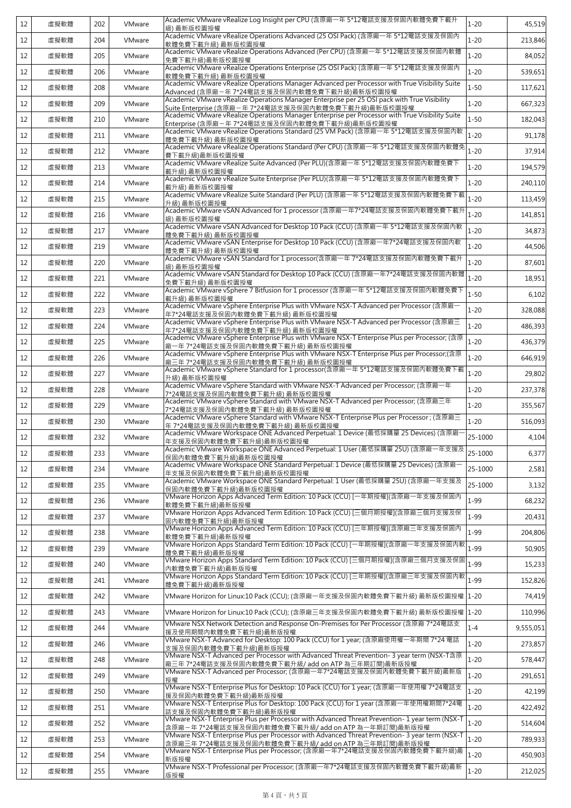| 12 | 虛擬軟體 | 202 | VMware | Academic VMware vRealize Log Insight per CPU (含原廠一年 5*12電話支援及保固內軟體免費下載升<br>級)最新版校園授權                                                                       | $1 - 20$ | 45,519    |
|----|------|-----|--------|------------------------------------------------------------------------------------------------------------------------------------------------------------|----------|-----------|
| 12 | 虛擬軟體 | 204 | VMware | Academic VMware vRealize Operations Advanced (25 OSI Pack) (含原廠一年 5*12電話支援及保固內<br>軟體免費下載升級) 最新版校園授權                                                        | $1 - 20$ | 213,846   |
| 12 | 虛擬軟體 | 205 | VMware | Academic VMware vRealize Operations Advanced (Per CPU) (含原廠一年 5*12電話支援及保固內軟體<br>免費下載升級)最新版校園授權                                                             | $1 - 20$ | 84,052    |
| 12 | 虛擬軟體 | 206 | VMware | Academic VMware vRealize Operations Enterprise (25 OSI Pack) (含原廠一年 5*12電話支援及保固內<br>軟體免費下載升級) 最新版校園授權                                                      | $1 - 20$ | 539,651   |
| 12 | 虛擬軟體 | 208 | VMware | Academic VMware vRealize Operations Manager Advanced per Processor with True Visibility Suite<br>Advanced (含原廠-年 7*24電話支援及保固內軟體免費下載升級)最新版校園授權              | $1 - 50$ | 117,621   |
| 12 | 虛擬軟體 | 209 | VMware | Academic VMware vRealize Operations Manager Enterprise per 25 OSI pack with True Visibility<br>Suite Enterprise (含原廠-年 7*24電話支援及保固內軟體免費下載升級)最新版校園授權        | $1 - 20$ | 667,323   |
| 12 | 虛擬軟體 | 210 | VMware | Academic VMware vRealize Operations Manager Enterprise per Processor with True Visibility Suite<br>Enterprise (含原廠-年 7*24電話支援及保固內軟體免費下載升級)最新版校園授權          | $1 - 50$ | 182.043   |
| 12 | 虛擬軟體 | 211 | VMware | Academic VMware vRealize Operations Standard (25 VM Pack) (含原廠一年 5*12電話支援及保固內軟<br>體免費下載升級) 最新版校園授權                                                         | $1 - 20$ | 91,178    |
| 12 | 虛擬軟體 | 212 | VMware | Academic VMware vRealize Operations Standard (Per CPU) (含原廠一年 5*12電話支援及保固內軟體免<br>費下載升級)最新版校園授權                                                             | $1 - 20$ | 37,914    |
| 12 | 虛擬軟體 | 213 | VMware | Academic VMware vRealize Suite Advanced (Per PLU)(含原廠一年 5*12電話支援及保固內軟體免費T<br>載升級) 最新版校園授權                                                                  | $1 - 20$ | 194,579   |
| 12 | 虛擬軟體 | 214 | VMware | Academic VMware vRealize Suite Enterprise (Per PLU)(含原廠一年 5*12電話支援及保固內軟體免費下<br>載升級) 最新版校園授權                                                                | $1 - 20$ | 240,110   |
| 12 | 虛擬軟體 | 215 | VMware | Academic VMware vRealize Suite Standard (Per PLU) (含原廠一年 5*12電話支援及保固內軟體免費下載<br>升級) 最新版校園授權                                                                 | $1 - 20$ | 113,459   |
| 12 | 虛擬軟體 | 216 | VMware | Academic VMware vSAN Advanced for 1 processor (含原廠一年7*24電話支援及保固內軟體免費下載升<br>級) 最新版校園授權                                                                      | $1 - 20$ | 141.851   |
| 12 | 虛擬軟體 | 217 | VMware | Academic VMware vSAN Advanced for Desktop 10 Pack (CCU) (含原廠一年 5*12電話支援及保固內軟<br>體免費下載升級) 最新版校園授權                                                           | $1 - 20$ | 34,873    |
| 12 | 虛擬軟體 | 219 | VMware | Academic VMware vSAN Enterprise for Desktop 10 Pack (CCU) (含原廠一年7*24電話支援及保固內軟<br>體免費下載升級) 最新版校園授權                                                          | $1 - 20$ | 44,506    |
| 12 | 虛擬軟體 | 220 | VMware | Academic VMware vSAN Standard for 1 processor(含原廠一年 7*24電話支援及保固內軟體免費下載升<br>級) 最新版校園授權                                                                      | $1 - 20$ | 87,601    |
| 12 | 虛擬軟體 | 221 | VMware | Academic VMware vSAN Standard for Desktop 10 Pack (CCU) (含原廠一年7*24電話支援及保固內軟體<br>免費下載升級) 最新版校園授權                                                            | $1 - 20$ | 18,951    |
| 12 | 虛擬軟體 | 222 | VMware | Academic VMware vSphere 7 Bitfusion for 1 processor (含原廠一年 5*12電話支援及保固內軟體免費下<br>載升級) 最新版校園授權                                                               | $1 - 50$ | 6,102     |
| 12 | 虛擬軟體 | 223 | VMware | Academic VMware vSphere Enterprise Plus with VMware NSX-T Advanced per Processor (含原廠<br>年7*24電話支援及保固內軟體免費下載升級) 最新版校園授權                                    | $1 - 20$ | 328,088   |
| 12 | 虛擬軟體 | 224 | VMware | Academic VMware vSphere Enterprise Plus with VMware NSX-T Advanced per Processor (含原廠三<br>年7*24電話支援及保固內軟體免費下載升級) 最新版校園授權                                   | $1 - 20$ | 486,393   |
| 12 | 虛擬軟體 | 225 | VMware | Academic VMware vSphere Enterprise Plus with VMware NSX-T Enterprise Plus per Processor; (含原<br>廠一年 7*24電話支援及保固內軟體免費下載升級) 最新版校園授權                          | $1 - 20$ | 436,379   |
| 12 | 虛擬軟體 | 226 | VMware | Academic VMware vSphere Enterprise Plus with VMware NSX-T Enterprise Plus per Processor;(含原<br>廠三年 7*24電話支援及保固內軟體免費下載升級) 最新版校園授權                           | $1 - 20$ | 646,919   |
| 12 | 虛擬軟體 | 227 | VMware | Academic VMware vSphere Standard for 1 processor(含原廠一年 5*12電話支援及保固內軟體免費下載<br>升級) 最新版校園授權                                                                   | $1 - 20$ | 29,802    |
| 12 | 虛擬軟體 | 228 | VMware | Academic VMware vSphere Standard with VMware NSX-T Advanced per Processor; (含原廠一年<br>7*24電話支援及保固內軟體免費下載升級) 最新版校園授權                                         | $1 - 20$ | 237,378   |
| 12 | 虚擬軟體 | 229 | VMware | Academic VMware vSphere Standard with VMware NSX-T Advanced per Processor: (含原廠三年<br>7*24電話支援及保固內軟體免費下載升級) 最新版校園授權                                         | $1 - 20$ | 355,567   |
| 12 | 虛擬軟體 | 230 | VMware | Academic VMware vSphere Standard with VMware NSX-T Enterprise Plus per Processor; (含原廠三<br>年 7*24電話支援及保固內軟體免費下載升級) 最新版校園授權                                 | $1 - 20$ | 516.093   |
| 12 | 虛擬軟體 | 232 | VMware | Academic VMware Workspace ONE Advanced Perpetual: 1 Device (最低採購量 25 Devices) (含原廠<br>年支援及保固內軟體免費下載升級)最新版校園授權                                              | 25-1000  | 4,104     |
| 12 | 虛擬軟體 | 233 | VMware | <u>年文援及床回内歌履光真 的概元微度观应该通过演</u><br>Academic VMware Workspace ONE Advanced Perpetual: 1 User (最低採購量 25U) (含原廠一年支援及 <sub>25-1000</sub><br>保固内軟體免費下載升級)最新版校園授權 |          | 6,377     |
| 12 | 虛擬軟體 | 234 | VMware | Academic VMware Workspace ONE Standard Perpetual: 1 Device (最低採購量 25 Devices) (含原廠<br>年支援及保固內軟體免費下載升級)最新版校園授權                                              | 25-1000  | 2,581     |
| 12 | 虚擬軟體 | 235 | VMware | Academic VMware Workspace ONE Standard Perpetual: 1 User (最低採購量 25U) (含原廠一年支援及<br>保固内軟體免費下載升級)最新版校園授權                                                      | 25-1000  | 3,132     |
| 12 | 虛擬軟體 | 236 | VMware | 軟體免費下載升級)最新版授權                                                                                                                                             | $1 - 99$ | 68,232    |
| 12 | 虛擬軟體 | 237 | VMware | VMware Horizon Apps Advanced Term Edition: 10 Pack (CCU) [三個月期授權](含原廠三個月支援及保<br>固内軟體免費下載升級)最新版授權                                                           | 1-99     | 20,431    |
| 12 | 虛擬軟體 | 238 | VMware | VMware Horizon Apps Advanced Term Edition: 10 Pack (CCU) [三年期授權](含原廠三年支援及保固內<br>軟體免費下載升級)最新版授權                                                             | $1 - 99$ | 204,806   |
| 12 | 虛擬軟體 | 239 | VMware | VMware Horizon Apps Standard Term Edition: 10 Pack (CCU) [一年期授權](含原廠一年支援及保固內軟<br>體免費下載升級)最新版授權                                                             | $1 - 99$ | 50,905    |
| 12 | 虛擬軟體 | 240 | VMware | VMware Horizon Apps Standard Term Edition: 10 Pack (CCU) [三個月期授權](含原廠三個月支援及保固<br>內軟體免費下載升級)最新版授權                                                           | $1 - 99$ | 15,233    |
| 12 | 虛擬軟體 | 241 | VMware | VMware Horizon Apps Standard Term Edition: 10 Pack (CCU) [三年期授權](含原廠三年支援及保固內軟<br>體免費下載升級)最新版授權                                                             | 1-99     | 152,826   |
| 12 | 虛擬軟體 | 242 | VMware | VMware Horizon for Linux:10 Pack (CCU); (含原廠一年支援及保固內軟體免費下載升級) 最新版校園授權  1-20 .                                                                              |          | 74,419    |
| 12 | 虛擬軟體 | 243 | VMware | VMware Horizon for Linux:10 Pack (CCU); (含原廠三年支援及保固內軟體免費下載升級) 最新版校園授權                                                                                      | $1 - 20$ | 110,996   |
| 12 | 虛擬軟體 | 244 | VMware | VMware NSX Network Detection and Response On-Premises for Per Processor (含原廠 7*24電話支<br>援及使用期間內軟體免費下載升級)最新版授權                                              | $1 - 4$  | 9,555,051 |
| 12 | 虛擬軟體 | 246 | VMware | VMware NSX-T Advanced for Desktop: 100 Pack (CCU) for 1 year; (含原廠使用權一年期間 7*24 電話<br>支援及保固內軟體免費下載升級)最新版授權                                                  | 1-20     | 273,857   |
| 12 | 虛擬軟體 | 248 | VMware | VMware NSX-T Advanced per Processor with Advanced Threat Prevention- 3 year term (NSX-T含原<br>廠三年 7*24電話支援及保固内軟體免費下載升級/add on ATP 為三年期訂閱)最新版授權              | $1 - 20$ | 578,447   |
| 12 | 虛擬軟體 | 249 | VMware | VMware NSX-T Advanced per Processor; (含原廠一年7*24電話支援及保固內軟體免費下載升級)最新版<br>授權                                                                                  | $1 - 20$ | 291,651   |
| 12 | 虛擬軟體 | 250 | VMware | <br>VMware NSX-T Enterprise Plus for Desktop: 10 Pack (CCU) for 1 year; (含原廠一年使用權 7*24電話支<br>援及保固內軟體免費下載升級)最新版授權                                           | $1 - 20$ | 42,199    |
| 12 | 虛擬軟體 | 251 | VMware | VMware NSX-T Enterprise Plus for Desktop: 100 Pack (CCU) for 1 year (含原廠一年使用權期間7*24電<br>話支援及保固內軟體免費下載升級)最新版授權                                              | $1 - 20$ | 422,492   |
| 12 | 虛擬軟體 | 252 | VMware | VMware NSX-T Enterprise Plus per Processor with Advanced Threat Prevention- 1 year term (NSX-T<br>含原廠–年 7*24電話支援及保固內軟體免費下載升級/ add on ATP 為一年期訂閱)最新版授權      | $1 - 20$ | 514,604   |
| 12 | 虛擬軟體 | 253 | VMware | VMware NSX-T Enterprise Plus per Processor with Advanced Threat Prevention-3 year term (NSX-T<br>含原廠三年 7*24電話支援及保固內軟體免費下載升級/ add on ATP 為三年期訂閱)最新版授權       | $1 - 20$ | 789,933   |
| 12 | 虛擬軟體 | 254 | VMware | VMware NSX-T Enterprise Plus per Processor; (含原廠一年7*24電話支援及保固內軟體免費下載升級)最<br>新版授權                                                                           | $1 - 20$ | 450,903   |
| 12 | 虛擬軟體 | 255 | VMware | VMware NSX-T Professional per Processor; (含原廠一年7*24電話支援及保固內軟體免費下載升級)最新<br>版授權                                                                              | $1 - 20$ | 212,025   |